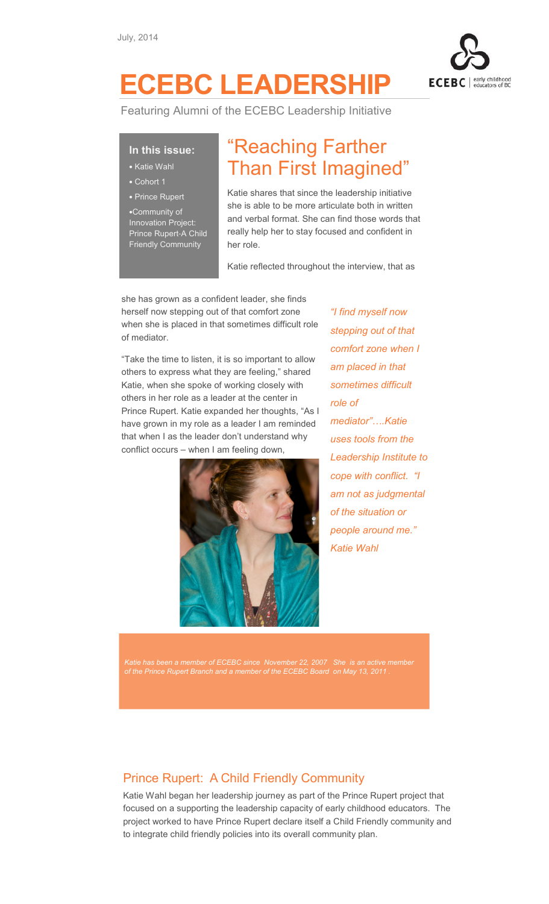

# ECEBC LEADERSHIP

Featuring Alumni of the ECEBC Leadership Initiative

### In this issue:

- Katie Wahl
- Cohort 1
- Prince Rupert

•Community of Innovation Project: Prince Rupert-A Child Friendly Community

## "Reaching Farther Than First Imagined"

Katie shares that since the leadership initiative she is able to be more articulate both in written and verbal format. She can find those words that really help her to stay focused and confident in her role.

Katie reflected throughout the interview, that as

she has grown as a confident leader, she finds herself now stepping out of that comfort zone when she is placed in that sometimes difficult role of mediator.

"Take the time to listen, it is so important to allow others to express what they are feeling," shared Katie, when she spoke of working closely with others in her role as a leader at the center in Prince Rupert. Katie expanded her thoughts, "As I have grown in my role as a leader I am reminded that when I as the leader don't understand why conflict occurs – when I am feeling down,



"I find myself now stepping out of that comfort zone when I am placed in that sometimes difficult role of mediator"....Katie uses tools from the Leadership Institute to cope with conflict. "I am not as judgmental of the situation or people around me." Katie Wahl

Katie has been a member of ECEBC since November 22, 2007 She is an active member of the Prince Rupert Branch and a member of the ECEBC Board on May 13, 2011 .

### Prince Rupert: A Child Friendly Community

Katie Wahl began her leadership journey as part of the Prince Rupert project that focused on a supporting the leadership capacity of early childhood educators. The project worked to have Prince Rupert declare itself a Child Friendly community and to integrate child friendly policies into its overall community plan.